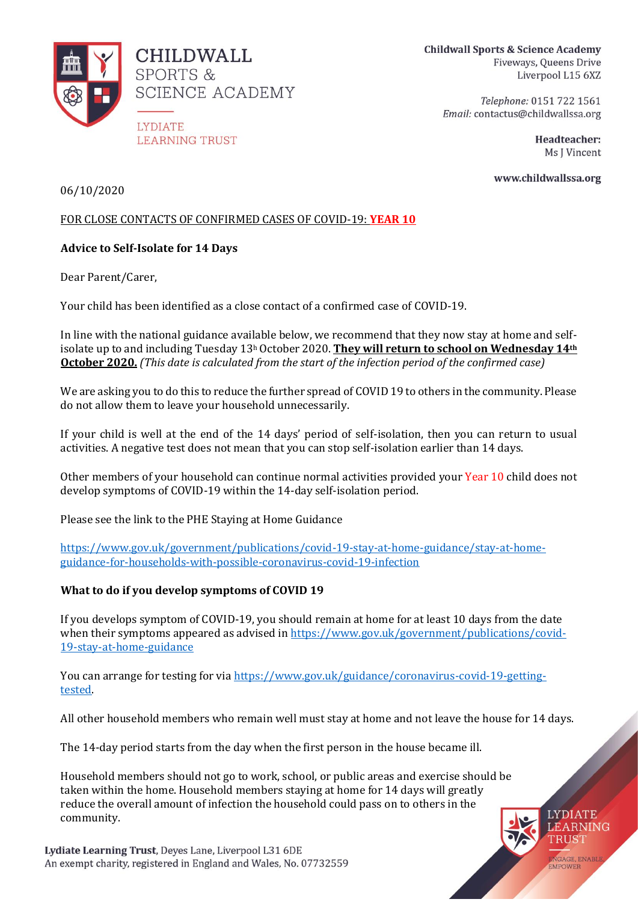

**CHILDWALL SPORTS & SCIENCE ACADEMY** 

**LYDIATE LEARNING TRUST** 

Telephone: 0151 722 1561 Email: contactus@childwallssa.org

> Headteacher: Ms J Vincent

> > **LYDIATE** LEARNING **TRUST**

**ENGAGE, ENABLE** 

www.childwallssa.org

06/10/2020

# FOR CLOSE CONTACTS OF CONFIRMED CASES OF COVID-19: **YEAR 10**

# **Advice to Self-Isolate for 14 Days**

Dear Parent/Carer,

Your child has been identified as a close contact of a confirmed case of COVID-19.

In line with the national guidance available below, we recommend that they now stay at home and selfisolate up to and including Tuesday 13<sup>h</sup> October 2020. **They will return to school on Wednesday 14th October 2020.** *(This date is calculated from the start of the infection period of the confirmed case)*

We are asking you to do this to reduce the further spread of COVID 19 to others in the community. Please do not allow them to leave your household unnecessarily.

If your child is well at the end of the 14 days' period of self-isolation, then you can return to usual activities. A negative test does not mean that you can stop self-isolation earlier than 14 days.

Other members of your household can continue normal activities provided your Year 10 child does not develop symptoms of COVID-19 within the 14-day self-isolation period.

Please see the link to the PHE Staying at Home Guidance

[https://www.gov.uk/government/publications/covid-19-stay-at-home-guidance/stay-at-home](https://www.gov.uk/government/publications/covid-19-stay-at-home-guidance/stay-at-home-guidance-for-households-with-possible-coronavirus-covid-19-infection)[guidance-for-households-with-possible-coronavirus-covid-19-infection](https://www.gov.uk/government/publications/covid-19-stay-at-home-guidance/stay-at-home-guidance-for-households-with-possible-coronavirus-covid-19-infection)

# **What to do if you develop symptoms of COVID 19**

If you develops symptom of COVID-19, you should remain at home for at least 10 days from the date when their symptoms appeared as advised i[n https://www.gov.uk/government/publications/covid-](https://www.gov.uk/government/publications/covid-19-stay-at-home-guidance)[19-stay-at-home-guidance](https://www.gov.uk/government/publications/covid-19-stay-at-home-guidance)

You can arrange for testing for vi[a https://www.gov.uk/guidance/coronavirus-covid-19-getting](https://www.gov.uk/guidance/coronavirus-covid-19-getting-tested)[tested.](https://www.gov.uk/guidance/coronavirus-covid-19-getting-tested)

All other household members who remain well must stay at home and not leave the house for 14 days.

The 14-day period starts from the day when the first person in the house became ill.

Household members should not go to work, school, or public areas and exercise should be taken within the home. Household members staying at home for 14 days will greatly reduce the overall amount of infection the household could pass on to others in the community.